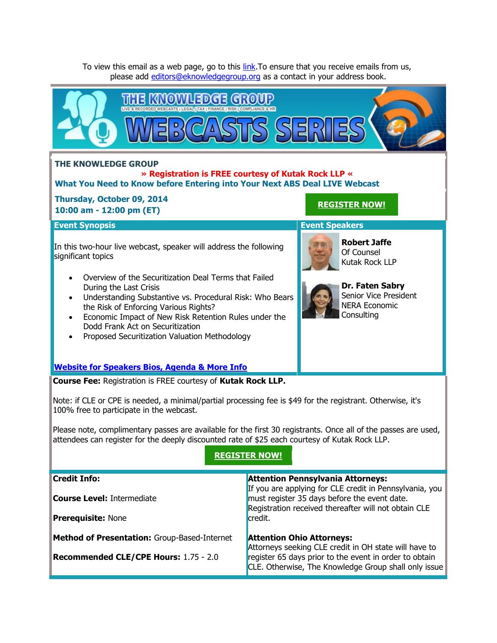To view this email as a web page, go to this [link.](http://theknowledgegroup.org/invites_view/speaker_invite.php?id=1284) To ensure that you receive emails from us, please add [editors@eknowledgegroup.org](mailto:editors@eknowledgegroup.org) as a contact in your address book.